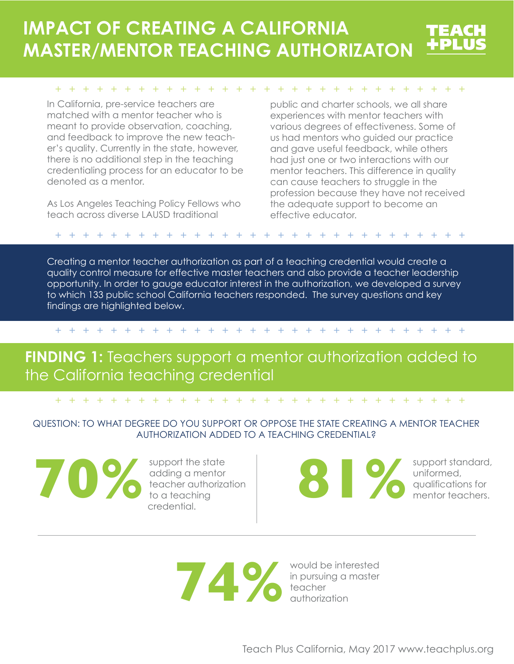# **IMPACT OF CREATING A CALIFORNIA MASTER/MENTOR TEACHING AUTHORIZATON**

#### ++++++++++++++++++++++++++++++

In California, pre-service teachers are matched with a mentor teacher who is meant to provide observation, coaching, and feedback to improve the new teacher's quality. Currently in the state, however, there is no additional step in the teaching credentialing process for an educator to be denoted as a mentor.

As Los Angeles Teaching Policy Fellows who teach across diverse LAUSD traditional

public and charter schools, we all share experiences with mentor teachers with various degrees of effectiveness. Some of us had mentors who guided our practice and gave useful feedback, while others had just one or two interactions with our mentor teachers. This difference in quality can cause teachers to struggle in the profession because they have not received the adequate support to become an effective educator.

### ++++++++++++++++++++++++++++++

Creating a mentor teacher authorization as part of a teaching credential would create a quality control measure for effective master teachers and also provide a teacher leadership opportunity. In order to gauge educator interest in the authorization, we developed a survey to which 133 public school California teachers responded. The survey questions and key findings are highlighted below.

### ++++++++++++++++++++++++++++++

# **FINDING 1:** Teachers support a mentor authorization added to the California teaching credential

### ++++++++++++++++++++++++++++++

## QUESTION: TO WHAT DEGREE DO YOU SUPPORT OR OPPOSE THE STATE CREATING A MENTOR TEACHER AUTHORIZATION ADDED TO A TEACHING CREDENTIAL?

**10 Support the state authorization** deaching a mentor teaching credential.

support the state adding a mentor teacher authorization to a teaching credential.

**and Support standard**<br> **81 mentor teachers.**<br> **81 mentor teachers.** 

uniformed,

would be interested in pursuing a master **14%**<br>**74% Property** *Property Property Property Property Property Property Property Property Property Property*